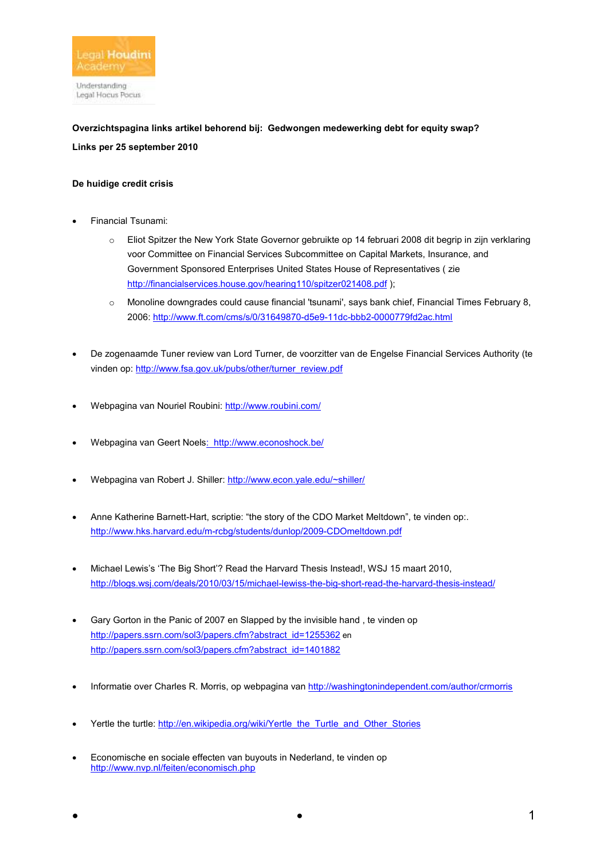

**Overzichtspagina links artikel behorend bij: Gedwongen medewerking debt for equity swap? Links per 25 september 2010** 

# **De huidige credit crisis**

- Financial Tsunami:
	- o Eliot Spitzer the New York State Governor gebruikte op 14 februari 2008 dit begrip in zijn verklaring voor Committee on Financial Services Subcommittee on Capital Markets, Insurance, and Government Sponsored Enterprises United States House of Representatives ( zie http://financialservices.house.gov/hearing110/spitzer021408.pdf );
	- $\circ$  Monoline downgrades could cause financial 'tsunami', says bank chief, Financial Times February 8, 2006: http://www.ft.com/cms/s/0/31649870-d5e9-11dc-bbb2-0000779fd2ac.html
- De zogenaamde Tuner review van Lord Turner, de voorzitter van de Engelse Financial Services Authority (te vinden op: http://www.fsa.gov.uk/pubs/other/turner\_review.pdf
- Webpagina van Nouriel Roubini: http://www.roubini.com/
- Webpagina van Geert Noels: http://www.econoshock.be/
- Webpagina van Robert J. Shiller: http://www.econ.yale.edu/~shiller/
- Anne Katherine Barnett-Hart, scriptie: "the story of the CDO Market Meltdown", te vinden op:. http://www.hks.harvard.edu/m-rcbg/students/dunlop/2009-CDOmeltdown.pdf
- Michael Lewis's 'The Big Short'? Read the Harvard Thesis Instead!, WSJ 15 maart 2010, http://blogs.wsj.com/deals/2010/03/15/michael-lewiss-the-big-short-read-the-harvard-thesis-instead/
- Gary Gorton in the Panic of 2007 en Slapped by the invisible hand , te vinden op http://papers.ssrn.com/sol3/papers.cfm?abstract\_id=1255362 en http://papers.ssrn.com/sol3/papers.cfm?abstract\_id=1401882
- Informatie over Charles R. Morris, op webpagina van http://washingtonindependent.com/author/crmorris
- Yertle the turtle: http://en.wikipedia.org/wiki/Yertle\_the\_Turtle\_and\_Other\_Stories
- Economische en sociale effecten van buyouts in Nederland, te vinden op http://www.nvp.nl/feiten/economisch.php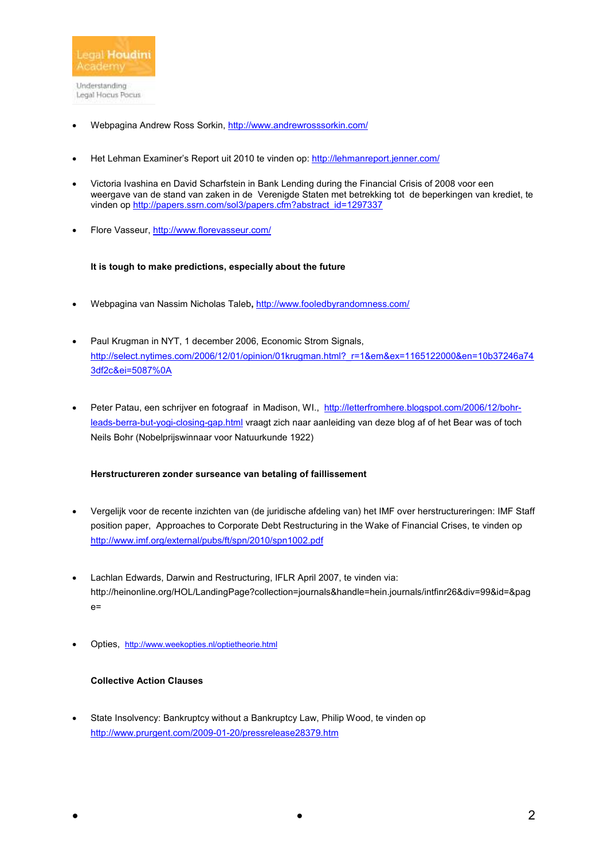

- Webpagina Andrew Ross Sorkin, http://www.andrewrosssorkin.com/
- Het Lehman Examiner's Report uit 2010 te vinden op: http://lehmanreport.jenner.com/
- Victoria Ivashina en David Scharfstein in Bank Lending during the Financial Crisis of 2008 voor een weergave van de stand van zaken in de Verenigde Staten met betrekking tot de beperkingen van krediet, te vinden op http://papers.ssrn.com/sol3/papers.cfm?abstract\_id=1297337
- Flore Vasseur, http://www.florevasseur.com/

#### **It is tough to make predictions, especially about the future**

- Webpagina van Nassim Nicholas Taleb**,** http://www.fooledbyrandomness.com/
- Paul Krugman in NYT, 1 december 2006, Economic Strom Signals, http://select.nytimes.com/2006/12/01/opinion/01krugman.html?\_r=1&em&ex=1165122000&en=10b37246a74 3df2c&ei=5087%0A
- Peter Patau, een schrijver en fotograaf in Madison, WI., http://letterfromhere.blogspot.com/2006/12/bohrleads-berra-but-yogi-closing-gap.html vraagt zich naar aanleiding van deze blog af of het Bear was of toch Neils Bohr (Nobelprijswinnaar voor Natuurkunde 1922)

## **Herstructureren zonder surseance van betaling of faillissement**

- Vergelijk voor de recente inzichten van (de juridische afdeling van) het IMF over herstructureringen: IMF Staff position paper, Approaches to Corporate Debt Restructuring in the Wake of Financial Crises, te vinden op http://www.imf.org/external/pubs/ft/spn/2010/spn1002.pdf
- Lachlan Edwards, Darwin and Restructuring, IFLR April 2007, te vinden via: http://heinonline.org/HOL/LandingPage?collection=journals&handle=hein.journals/intfinr26&div=99&id=&pag  $e=$
- Opties, http://www.weekopties.nl/optietheorie.html

### **Collective Action Clauses**

State Insolvency: Bankruptcy without a Bankruptcy Law, Philip Wood, te vinden op http://www.prurgent.com/2009-01-20/pressrelease28379.htm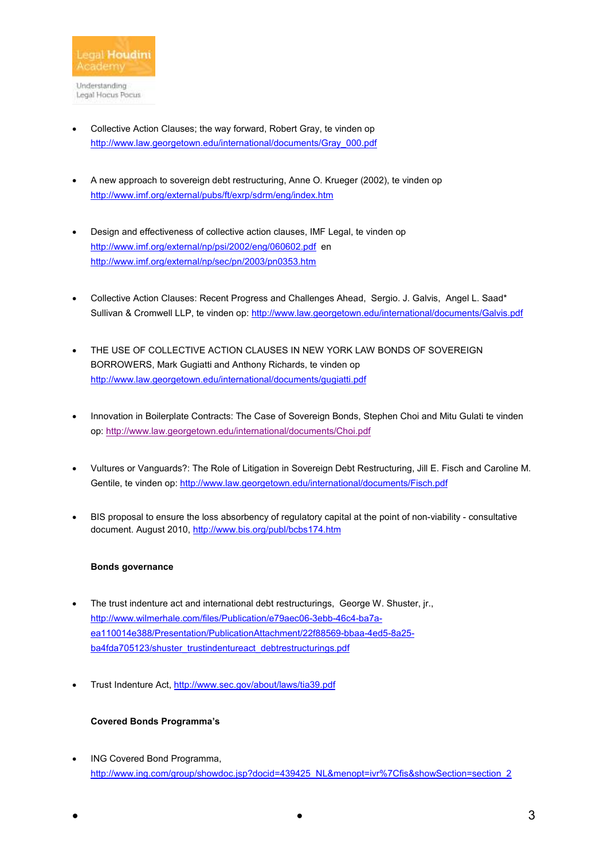- Collective Action Clauses; the way forward, Robert Gray, te vinden op http://www.law.georgetown.edu/international/documents/Gray\_000.pdf
- A new approach to sovereign debt restructuring, Anne O. Krueger (2002), te vinden op http://www.imf.org/external/pubs/ft/exrp/sdrm/eng/index.htm
- Design and effectiveness of collective action clauses, IMF Legal, te vinden op http://www.imf.org/external/np/psi/2002/eng/060602.pdf en http://www.imf.org/external/np/sec/pn/2003/pn0353.htm
- Collective Action Clauses: Recent Progress and Challenges Ahead, Sergio. J. Galvis, Angel L. Saad\* Sullivan & Cromwell LLP, te vinden op: http://www.law.georgetown.edu/international/documents/Galvis.pdf
- THE USE OF COLLECTIVE ACTION CLAUSES IN NEW YORK LAW BONDS OF SOVEREIGN BORROWERS, Mark Gugiatti and Anthony Richards, te vinden op http://www.law.georgetown.edu/international/documents/gugiatti.pdf
- Innovation in Boilerplate Contracts: The Case of Sovereign Bonds, Stephen Choi and Mitu Gulati te vinden op: http://www.law.georgetown.edu/international/documents/Choi.pdf
- Vultures or Vanguards?: The Role of Litigation in Sovereign Debt Restructuring, Jill E. Fisch and Caroline M. Gentile, te vinden op: http://www.law.georgetown.edu/international/documents/Fisch.pdf
- BIS proposal to ensure the loss absorbency of regulatory capital at the point of non-viability consultative document. August 2010, http://www.bis.org/publ/bcbs174.htm

# **Bonds governance**

- The trust indenture act and international debt restructurings, George W. Shuster, jr., http://www.wilmerhale.com/files/Publication/e79aec06-3ebb-46c4-ba7aea110014e388/Presentation/PublicationAttachment/22f88569-bbaa-4ed5-8a25 ba4fda705123/shuster\_trustindentureact\_debtrestructurings.pdf
- Trust Indenture Act, http://www.sec.gov/about/laws/tia39.pdf

## **Covered Bonds Programma's**

• ING Covered Bond Programma, http://www.ing.com/group/showdoc.jsp?docid=439425\_NL&menopt=ivr%7Cfis&showSection=section\_2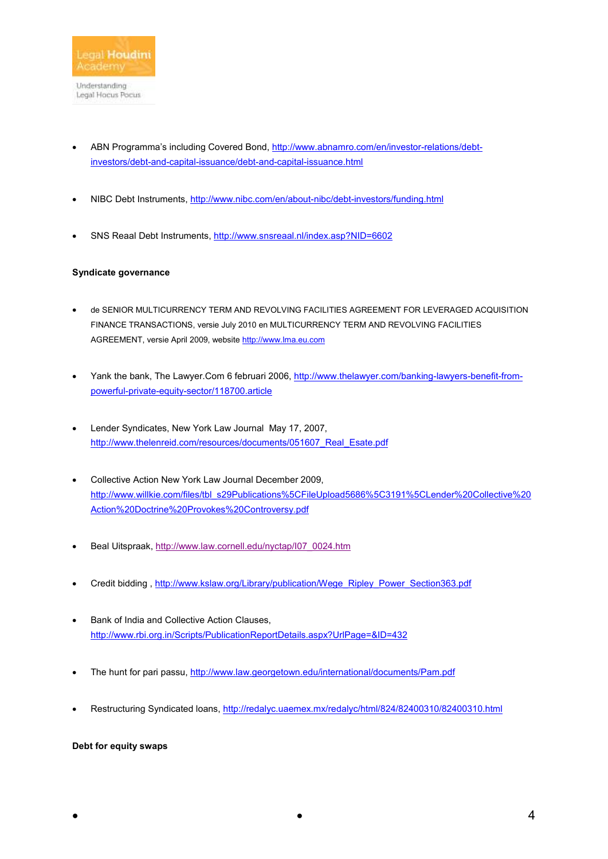

- ABN Programma's including Covered Bond, http://www.abnamro.com/en/investor-relations/debtinvestors/debt-and-capital-issuance/debt-and-capital-issuance.html
- NIBC Debt Instruments, http://www.nibc.com/en/about-nibc/debt-investors/funding.html
- SNS Reaal Debt Instruments, http://www.snsreaal.nl/index.asp?NID=6602

# **Syndicate governance**

- de SENIOR MULTICURRENCY TERM AND REVOLVING FACILITIES AGREEMENT FOR LEVERAGED ACQUISITION FINANCE TRANSACTIONS, versie July 2010 en MULTICURRENCY TERM AND REVOLVING FACILITIES AGREEMENT, versie April 2009, website http://www.lma.eu.com
- Yank the bank, The Lawyer.Com 6 februari 2006, http://www.thelawyer.com/banking-lawyers-benefit-frompowerful-private-equity-sector/118700.article
- Lender Syndicates, New York Law Journal May 17, 2007, http://www.thelenreid.com/resources/documents/051607\_Real\_Esate.pdf
- Collective Action New York Law Journal December 2009, http://www.willkie.com/files/tbl\_s29Publications%5CFileUpload5686%5C3191%5CLender%20Collective%20 Action%20Doctrine%20Provokes%20Controversy.pdf
- Beal Uitspraak, http://www.law.cornell.edu/nyctap/I07\_0024.htm
- Credit bidding , http://www.kslaw.org/Library/publication/Wege\_Ripley\_Power\_Section363.pdf
- Bank of India and Collective Action Clauses, http://www.rbi.org.in/Scripts/PublicationReportDetails.aspx?UrlPage=&ID=432
- The hunt for pari passu, http://www.law.georgetown.edu/international/documents/Pam.pdf
- Restructuring Syndicated loans, http://redalyc.uaemex.mx/redalyc/html/824/82400310/82400310.html

# **Debt for equity swaps**